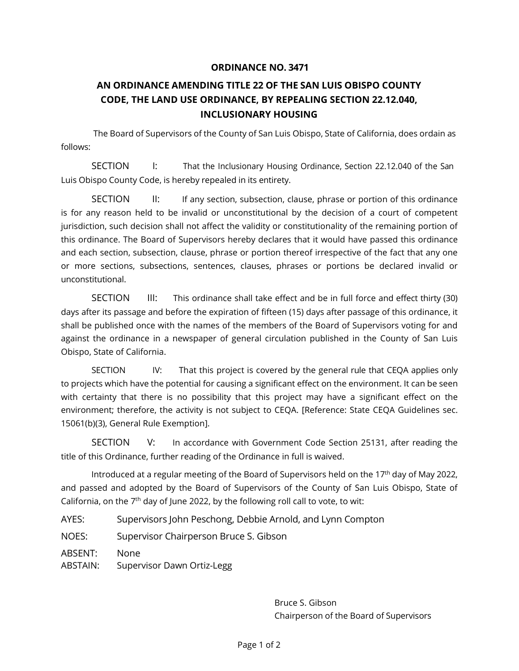## **ORDINANCE NO. 3471**

## **AN ORDINANCE AMENDING TITLE 22 OF THE SAN LUIS OBISPO COUNTY CODE, THE LAND USE ORDINANCE, BY REPEALING SECTION 22.12.040, INCLUSIONARY HOUSING**

The Board of Supervisors of the County of San Luis Obispo, State of California, does ordain as follows:

SECTION I: That the Inclusionary Housing Ordinance, Section 22.12.040 of the San Luis Obispo County Code, is hereby repealed in its entirety.

SECTION II: If any section, subsection, clause, phrase or portion of this ordinance is for any reason held to be invalid or unconstitutional by the decision of a court of competent jurisdiction, such decision shall not affect the validity or constitutionality of the remaining portion of this ordinance. The Board of Supervisors hereby declares that it would have passed this ordinance and each section, subsection, clause, phrase or portion thereof irrespective of the fact that any one or more sections, subsections, sentences, clauses, phrases or portions be declared invalid or unconstitutional.

SECTION III: This ordinance shall take effect and be in full force and effect thirty (30) days after its passage and before the expiration of fifteen (15) days after passage of this ordinance, it shall be published once with the names of the members of the Board of Supervisors voting for and against the ordinance in a newspaper of general circulation published in the County of San Luis Obispo, State of California.

SECTION IV: That this project is covered by the general rule that CEQA applies only to projects which have the potential for causing a significant effect on the environment. It can be seen with certainty that there is no possibility that this project may have a significant effect on the environment; therefore, the activity is not subject to CEQA. [Reference: State CEQA Guidelines sec. 15061(b)(3), General Rule Exemption].

SECTION V: In accordance with Government Code Section 25131, after reading the title of this Ordinance, further reading of the Ordinance in full is waived.

Introduced at a regular meeting of the Board of Supervisors held on the 17<sup>th</sup> day of May 2022, and passed and adopted by the Board of Supervisors of the County of San Luis Obispo, State of California, on the  $7<sup>th</sup>$  day of June 2022, by the following roll call to vote, to wit:

AYES: Supervisors John Peschong, Debbie Arnold, and Lynn Compton

NOES: Supervisor Chairperson Bruce S. Gibson

ABSENT: None

ABSTAIN: Supervisor Dawn Ortiz-Legg

Bruce S. Gibson Chairperson of the Board of Supervisors